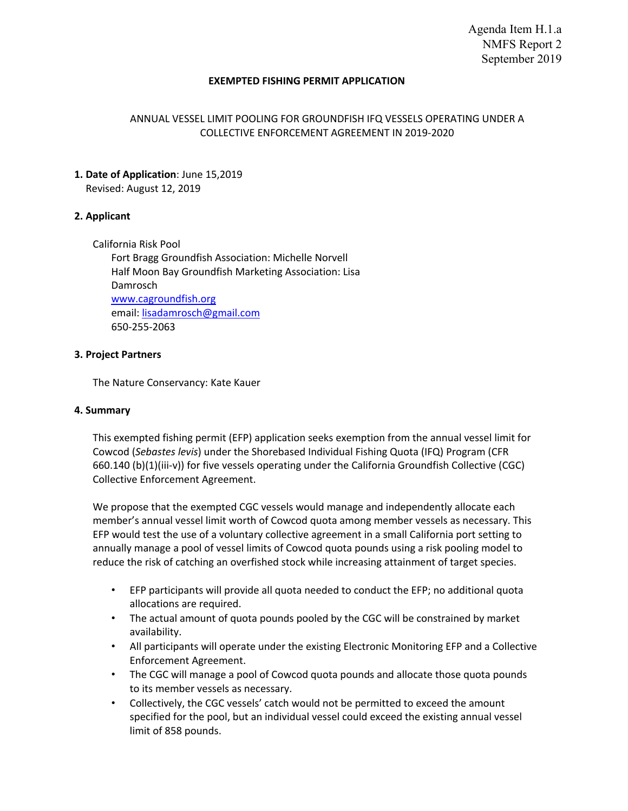Agenda Item H.1.a NMFS Report 2 September 2019

#### **EXEMPTED FISHING PERMIT APPLICATION**

### ANNUAL VESSEL LIMIT POOLING FOR GROUNDFISH IFQ VESSELS OPERATING UNDER A COLLECTIVE ENFORCEMENT AGREEMENT IN 2019-2020

# **1. Date of Application**: June 15,2019

Revised: August 12, 2019

# **2. Applicant**

California Risk Pool Fort Bragg Groundfish Association: Michelle Norvell Half Moon Bay Groundfish Marketing Association: Lisa Damrosch www.cagroundfish.org email: lisadamrosch@gmail.com 650-255-2063

### **3. Project Partners**

The Nature Conservancy: Kate Kauer

### **4. Summary**

This exempted fishing permit (EFP) application seeks exemption from the annual vessel limit for Cowcod (*Sebastes levis*) under the Shorebased Individual Fishing Quota (IFQ) Program (CFR 660.140 (b)(1)(iii-v)) for five vessels operating under the California Groundfish Collective (CGC) Collective Enforcement Agreement.

We propose that the exempted CGC vessels would manage and independently allocate each member's annual vessel limit worth of Cowcod quota among member vessels as necessary. This EFP would test the use of a voluntary collective agreement in a small California port setting to annually manage a pool of vessel limits of Cowcod quota pounds using a risk pooling model to reduce the risk of catching an overfished stock while increasing attainment of target species.

- EFP participants will provide all quota needed to conduct the EFP; no additional quota allocations are required.
- The actual amount of quota pounds pooled by the CGC will be constrained by market availability.
- All participants will operate under the existing Electronic Monitoring EFP and a Collective Enforcement Agreement.
- The CGC will manage a pool of Cowcod quota pounds and allocate those quota pounds to its member vessels as necessary.
- Collectively, the CGC vessels' catch would not be permitted to exceed the amount specified for the pool, but an individual vessel could exceed the existing annual vessel limit of 858 pounds.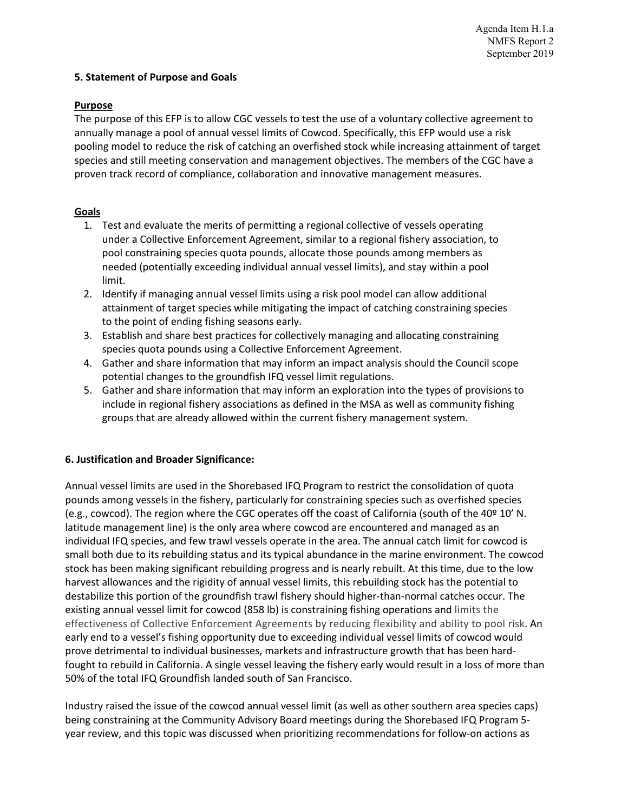### **5. Statement of Purpose and Goals**

### **Purpose**

The purpose of this EFP is to allow CGC vessels to test the use of a voluntary collective agreement to annually manage a pool of annual vessel limits of Cowcod. Specifically, this EFP would use a risk pooling model to reduce the risk of catching an overfished stock while increasing attainment of target species and still meeting conservation and management objectives. The members of the CGC have a proven track record of compliance, collaboration and innovative management measures.

# **Goals**

- 1. Test and evaluate the merits of permitting a regional collective of vessels operating under a Collective Enforcement Agreement, similar to a regional fishery association, to pool constraining species quota pounds, allocate those pounds among members as needed (potentially exceeding individual annual vessel limits), and stay within a pool limit.
- 2. Identify if managing annual vessel limits using a risk pool model can allow additional attainment of target species while mitigating the impact of catching constraining species to the point of ending fishing seasons early.
- 3. Establish and share best practices for collectively managing and allocating constraining species quota pounds using a Collective Enforcement Agreement.
- 4. Gather and share information that may inform an impact analysis should the Council scope potential changes to the groundfish IFQ vessel limit regulations.
- 5. Gather and share information that may inform an exploration into the types of provisions to include in regional fishery associations as defined in the MSA as well as community fishing groups that are already allowed within the current fishery management system.

### **6. Justification and Broader Significance:**

Annual vessel limits are used in the Shorebased IFQ Program to restrict the consolidation of quota pounds among vessels in the fishery, particularly for constraining species such as overfished species (e.g., cowcod). The region where the CGC operates off the coast of California (south of the 40º 10' N. latitude management line) is the only area where cowcod are encountered and managed as an individual IFQ species, and few trawl vessels operate in the area. The annual catch limit for cowcod is small both due to its rebuilding status and its typical abundance in the marine environment. The cowcod stock has been making significant rebuilding progress and is nearly rebuilt. At this time, due to the low harvest allowances and the rigidity of annual vessel limits, this rebuilding stock has the potential to destabilize this portion of the groundfish trawl fishery should higher-than-normal catches occur. The existing annual vessel limit for cowcod (858 lb) is constraining fishing operations and limits the effectiveness of Collective Enforcement Agreements by reducing flexibility and ability to pool risk. An early end to a vessel's fishing opportunity due to exceeding individual vessel limits of cowcod would prove detrimental to individual businesses, markets and infrastructure growth that has been hardfought to rebuild in California. A single vessel leaving the fishery early would result in a loss of more than 50% of the total IFQ Groundfish landed south of San Francisco.

Industry raised the issue of the cowcod annual vessel limit (as well as other southern area species caps) being constraining at the Community Advisory Board meetings during the Shorebased IFQ Program 5 year review, and this topic was discussed when prioritizing recommendations for follow-on actions as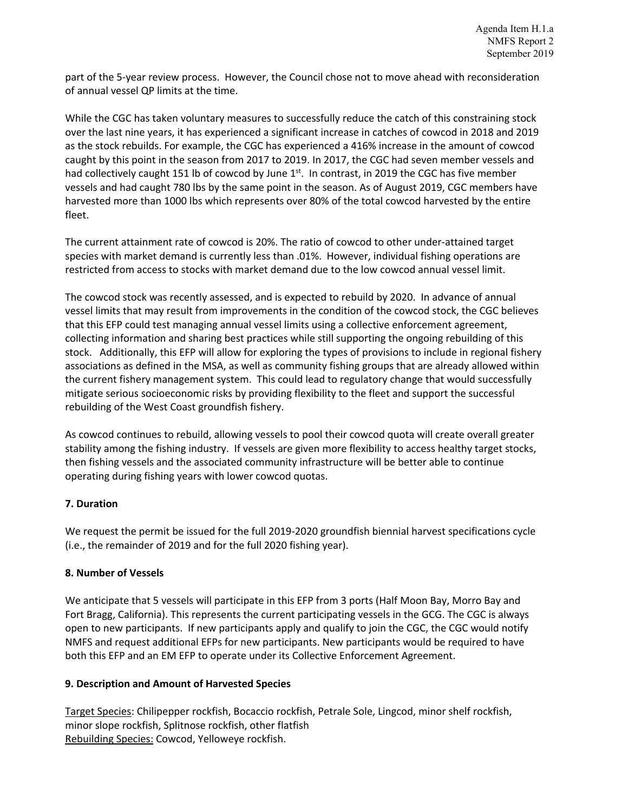part of the 5-year review process. However, the Council chose not to move ahead with reconsideration of annual vessel QP limits at the time.

While the CGC has taken voluntary measures to successfully reduce the catch of this constraining stock over the last nine years, it has experienced a significant increase in catches of cowcod in 2018 and 2019 as the stock rebuilds. For example, the CGC has experienced a 416% increase in the amount of cowcod caught by this point in the season from 2017 to 2019. In 2017, the CGC had seven member vessels and had collectively caught 151 lb of cowcod by June 1<sup>st</sup>. In contrast, in 2019 the CGC has five member vessels and had caught 780 lbs by the same point in the season. As of August 2019, CGC members have harvested more than 1000 lbs which represents over 80% of the total cowcod harvested by the entire fleet.

The current attainment rate of cowcod is 20%. The ratio of cowcod to other under-attained target species with market demand is currently less than .01%. However, individual fishing operations are restricted from access to stocks with market demand due to the low cowcod annual vessel limit.

The cowcod stock was recently assessed, and is expected to rebuild by 2020. In advance of annual vessel limits that may result from improvements in the condition of the cowcod stock, the CGC believes that this EFP could test managing annual vessel limits using a collective enforcement agreement, collecting information and sharing best practices while still supporting the ongoing rebuilding of this stock. Additionally, this EFP will allow for exploring the types of provisions to include in regional fishery associations as defined in the MSA, as well as community fishing groups that are already allowed within the current fishery management system. This could lead to regulatory change that would successfully mitigate serious socioeconomic risks by providing flexibility to the fleet and support the successful rebuilding of the West Coast groundfish fishery.

As cowcod continues to rebuild, allowing vessels to pool their cowcod quota will create overall greater stability among the fishing industry. If vessels are given more flexibility to access healthy target stocks, then fishing vessels and the associated community infrastructure will be better able to continue operating during fishing years with lower cowcod quotas.

# **7. Duration**

We request the permit be issued for the full 2019-2020 groundfish biennial harvest specifications cycle (i.e., the remainder of 2019 and for the full 2020 fishing year).

# **8. Number of Vessels**

We anticipate that 5 vessels will participate in this EFP from 3 ports (Half Moon Bay, Morro Bay and Fort Bragg, California). This represents the current participating vessels in the GCG. The CGC is always open to new participants. If new participants apply and qualify to join the CGC, the CGC would notify NMFS and request additional EFPs for new participants. New participants would be required to have both this EFP and an EM EFP to operate under its Collective Enforcement Agreement.

# **9. Description and Amount of Harvested Species**

Target Species: Chilipepper rockfish, Bocaccio rockfish, Petrale Sole, Lingcod, minor shelf rockfish, minor slope rockfish, Splitnose rockfish, other flatfish Rebuilding Species: Cowcod, Yelloweye rockfish.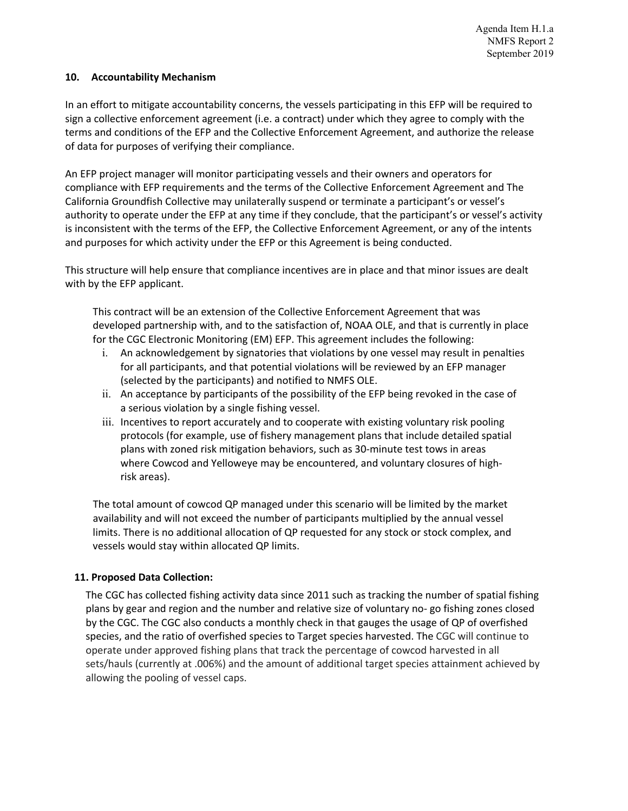### **10. Accountability Mechanism**

In an effort to mitigate accountability concerns, the vessels participating in this EFP will be required to sign a collective enforcement agreement (i.e. a contract) under which they agree to comply with the terms and conditions of the EFP and the Collective Enforcement Agreement, and authorize the release of data for purposes of verifying their compliance.

An EFP project manager will monitor participating vessels and their owners and operators for compliance with EFP requirements and the terms of the Collective Enforcement Agreement and The California Groundfish Collective may unilaterally suspend or terminate a participant's or vessel's authority to operate under the EFP at any time if they conclude, that the participant's or vessel's activity is inconsistent with the terms of the EFP, the Collective Enforcement Agreement, or any of the intents and purposes for which activity under the EFP or this Agreement is being conducted.

This structure will help ensure that compliance incentives are in place and that minor issues are dealt with by the EFP applicant.

This contract will be an extension of the Collective Enforcement Agreement that was developed partnership with, and to the satisfaction of, NOAA OLE, and that is currently in place for the CGC Electronic Monitoring (EM) EFP. This agreement includes the following:

- i. An acknowledgement by signatories that violations by one vessel may result in penalties for all participants, and that potential violations will be reviewed by an EFP manager (selected by the participants) and notified to NMFS OLE.
- ii. An acceptance by participants of the possibility of the EFP being revoked in the case of a serious violation by a single fishing vessel.
- iii. Incentives to report accurately and to cooperate with existing voluntary risk pooling protocols (for example, use of fishery management plans that include detailed spatial plans with zoned risk mitigation behaviors, such as 30-minute test tows in areas where Cowcod and Yelloweye may be encountered, and voluntary closures of highrisk areas).

The total amount of cowcod QP managed under this scenario will be limited by the market availability and will not exceed the number of participants multiplied by the annual vessel limits. There is no additional allocation of QP requested for any stock or stock complex, and vessels would stay within allocated QP limits.

# **11. Proposed Data Collection:**

The CGC has collected fishing activity data since 2011 such as tracking the number of spatial fishing plans by gear and region and the number and relative size of voluntary no- go fishing zones closed by the CGC. The CGC also conducts a monthly check in that gauges the usage of QP of overfished species, and the ratio of overfished species to Target species harvested. The CGC will continue to operate under approved fishing plans that track the percentage of cowcod harvested in all sets/hauls (currently at .006%) and the amount of additional target species attainment achieved by allowing the pooling of vessel caps.